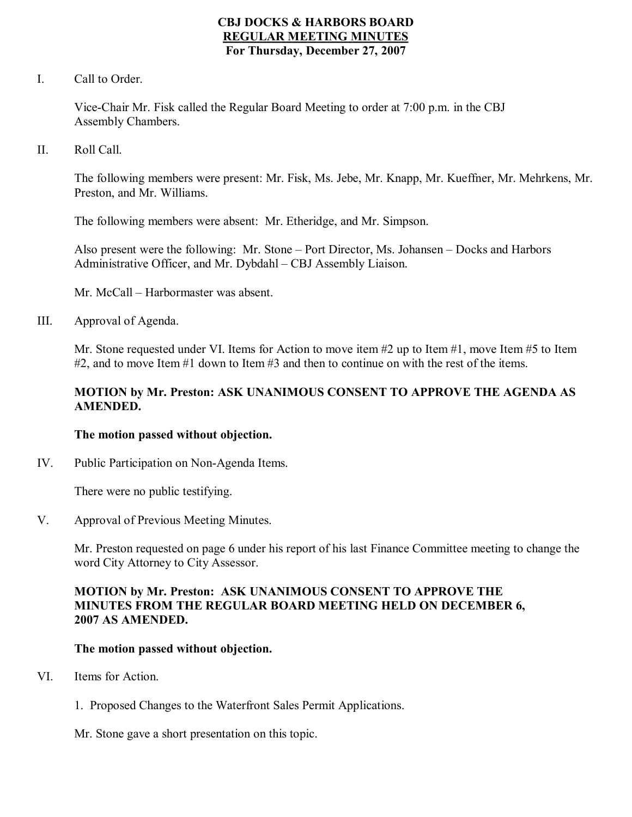### **CBJ DOCKS & HARBORS BOARD REGULAR MEETING MINUTES For Thursday, December 27, 2007**

I. Call to Order.

Vice-Chair Mr. Fisk called the Regular Board Meeting to order at 7:00 p.m. in the CBJ Assembly Chambers.

II. Roll Call.

The following members were present: Mr. Fisk, Ms. Jebe, Mr. Knapp, Mr. Kueffner, Mr. Mehrkens, Mr. Preston, and Mr. Williams.

The following members were absent: Mr. Etheridge, and Mr. Simpson.

Also present were the following: Mr. Stone – Port Director, Ms. Johansen – Docks and Harbors Administrative Officer, and Mr. Dybdahl – CBJ Assembly Liaison.

Mr. McCall – Harbormaster was absent.

III. Approval of Agenda.

Mr. Stone requested under VI. Items for Action to move item #2 up to Item #1, move Item #5 to Item #2, and to move Item #1 down to Item #3 and then to continue on with the rest of the items.

### **MOTION by Mr. Preston: ASK UNANIMOUS CONSENT TO APPROVE THE AGENDA AS AMENDED.**

#### **The motion passed without objection.**

IV. Public Participation on Non-Agenda Items.

There were no public testifying.

V. Approval of Previous Meeting Minutes.

Mr. Preston requested on page 6 under his report of his last Finance Committee meeting to change the word City Attorney to City Assessor.

#### **MOTION by Mr. Preston: ASK UNANIMOUS CONSENT TO APPROVE THE MINUTES FROM THE REGULAR BOARD MEETING HELD ON DECEMBER 6, 2007 AS AMENDED.**

#### **The motion passed without objection.**

- VI. Items for Action.
	- 1. Proposed Changes to the Waterfront Sales Permit Applications.
	- Mr. Stone gave a short presentation on this topic.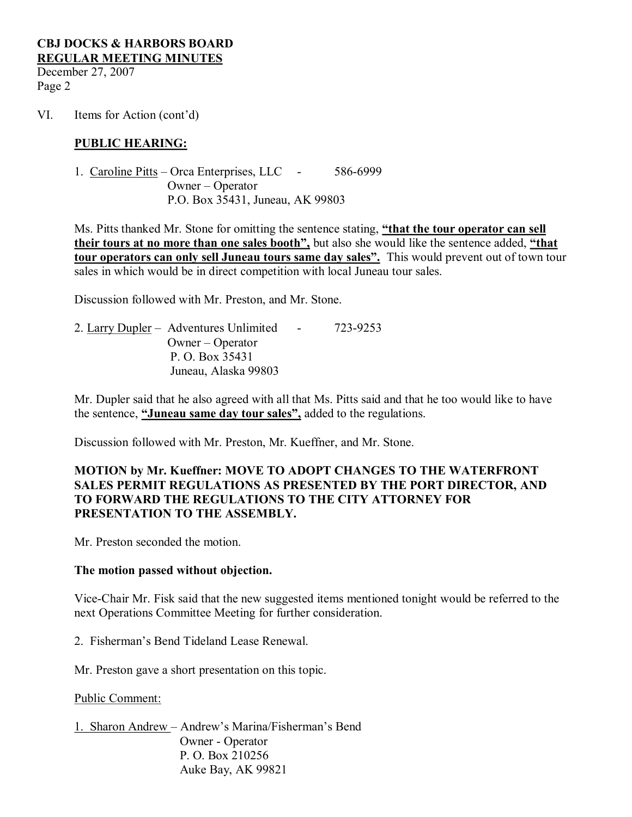December 27, 2007 Page 2

VI. Items for Action (cont'd)

#### **PUBLIC HEARING:**

1. Caroline Pitts – Orca Enterprises, LLC - 586-6999 Owner – Operator P.O. Box 35431, Juneau, AK 99803

Ms. Pitts thanked Mr. Stone for omitting the sentence stating, **"that the tour operator can sell their tours at no more than one sales booth",** but also she would like the sentence added, **"that tour operators can only sell Juneau tours same day sales".** This would prevent out of town tour sales in which would be in direct competition with local Juneau tour sales.

Discussion followed with Mr. Preston, and Mr. Stone.

2. Larry Dupler – Adventures Unlimited - 723-9253 Owner – Operator P. O. Box 35431 Juneau, Alaska 99803

Mr. Dupler said that he also agreed with all that Ms. Pitts said and that he too would like to have the sentence, **"Juneau same day tour sales",** added to the regulations.

Discussion followed with Mr. Preston, Mr. Kueffner, and Mr. Stone.

### **MOTION by Mr. Kueffner: MOVE TO ADOPT CHANGES TO THE WATERFRONT SALES PERMIT REGULATIONS AS PRESENTED BY THE PORT DIRECTOR, AND TO FORWARD THE REGULATIONS TO THE CITY ATTORNEY FOR PRESENTATION TO THE ASSEMBLY.**

Mr. Preston seconded the motion.

#### **The motion passed without objection.**

ViceChair Mr. Fisk said that the new suggested items mentioned tonight would be referred to the next Operations Committee Meeting for further consideration.

2. Fisherman's Bend Tideland Lease Renewal.

Mr. Preston gave a short presentation on this topic.

Public Comment:

1. Sharon Andrew – Andrew's Marina/Fisherman's Bend Owner - Operator P. O. Box 210256 Auke Bay, AK 99821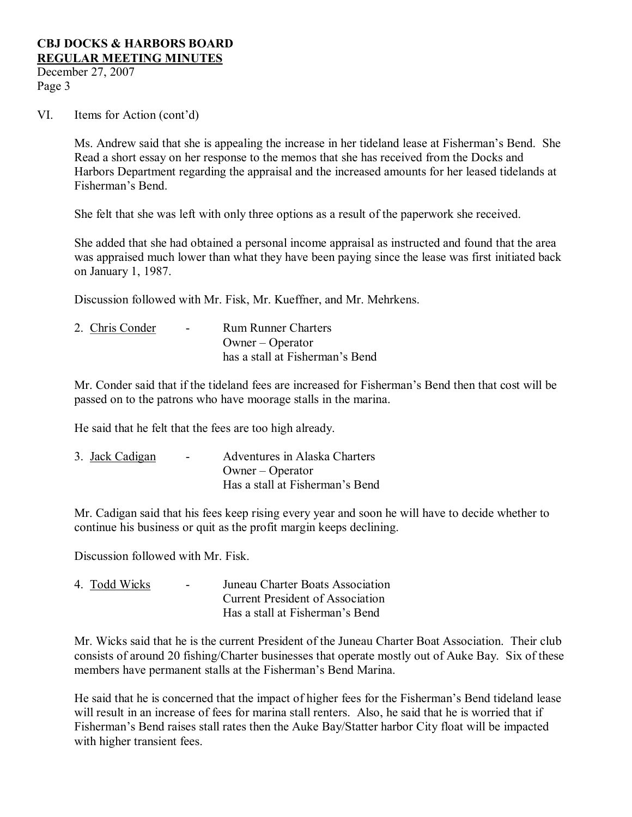December 27, 2007 Page 3

#### VI. Items for Action (cont'd)

Ms. Andrew said that she is appealing the increase in her tideland lease at Fisherman's Bend. She Read a short essay on her response to the memos that she has received from the Docks and Harbors Department regarding the appraisal and the increased amounts for her leased tidelands at Fisherman's Bend.

She felt that she was left with only three options as a result of the paperwork she received.

She added that she had obtained a personal income appraisal as instructed and found that the area was appraised much lower than what they have been paying since the lease was first initiated back on January 1, 1987.

Discussion followed with Mr. Fisk, Mr. Kueffner, and Mr. Mehrkens.

| 2. Chris Conder | $\sim$ | <b>Rum Runner Charters</b>      |
|-----------------|--------|---------------------------------|
|                 |        | Owner – Operator                |
|                 |        | has a stall at Fisherman's Bend |

Mr. Conder said that if the tideland fees are increased for Fisherman's Bend then that cost will be passed on to the patrons who have moorage stalls in the marina.

He said that he felt that the fees are too high already.

| 3. Jack Cadigan | ۰. | Adventures in Alaska Charters   |
|-----------------|----|---------------------------------|
|                 |    | $O$ wner – Operator             |
|                 |    | Has a stall at Fisherman's Bend |

Mr. Cadigan said that his fees keep rising every year and soon he will have to decide whether to continue his business or quit as the profit margin keeps declining.

Discussion followed with Mr. Fisk.

| 4. Todd Wicks | $\sim$ | Juneau Charter Boats Association        |
|---------------|--------|-----------------------------------------|
|               |        | <b>Current President of Association</b> |
|               |        | Has a stall at Fisherman's Bend         |

Mr. Wicks said that he is the current President of the Juneau Charter Boat Association. Their club consists of around 20 fishing/Charter businesses that operate mostly out of Auke Bay. Six of these members have permanent stalls at the Fisherman's Bend Marina.

He said that he is concerned that the impact of higher fees for the Fisherman's Bend tideland lease will result in an increase of fees for marina stall renters. Also, he said that he is worried that if Fisherman's Bend raises stall rates then the Auke Bay/Statter harbor City float will be impacted with higher transient fees.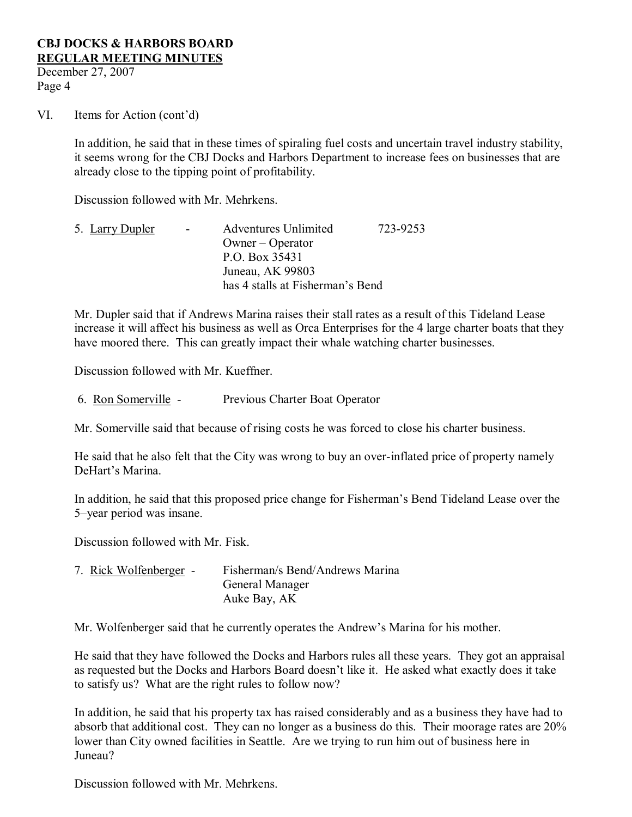December 27, 2007 Page 4

VI. Items for Action (cont'd)

In addition, he said that in these times of spiraling fuel costs and uncertain travel industry stability, it seems wrong for the CBJ Docks and Harbors Department to increase fees on businesses that are already close to the tipping point of profitability.

Discussion followed with Mr. Mehrkens.

5. Larry Dupler - Adventures Unlimited 723-9253 Owner – Operator P.O. Box 35431 Juneau, AK 99803 has 4 stalls at Fisherman's Bend

Mr. Dupler said that if Andrews Marina raises their stall rates as a result of this Tideland Lease increase it will affect his business as well as Orca Enterprises for the 4 large charter boats that they have moored there. This can greatly impact their whale watching charter businesses.

Discussion followed with Mr. Kueffner.

6. Ron Somerville Previous Charter Boat Operator

Mr. Somerville said that because of rising costs he was forced to close his charter business.

He said that he also felt that the City was wrong to buy an overinflated price of property namely DeHart's Marina.

In addition, he said that this proposed price change for Fisherman's Bend Tideland Lease over the 5–year period was insane.

Discussion followed with Mr. Fisk.

7. Rick Wolfenberger Fisherman/s Bend/Andrews Marina General Manager Auke Bay, AK

Mr. Wolfenberger said that he currently operates the Andrew's Marina for his mother.

He said that they have followed the Docks and Harbors rules all these years. They got an appraisal as requested but the Docks and Harbors Board doesn't like it. He asked what exactly does it take to satisfy us? What are the right rules to follow now?

In addition, he said that his property tax has raised considerably and as a business they have had to absorb that additional cost. They can no longer as a business do this. Their moorage rates are 20% lower than City owned facilities in Seattle. Are we trying to run him out of business here in Juneau?

Discussion followed with Mr. Mehrkens.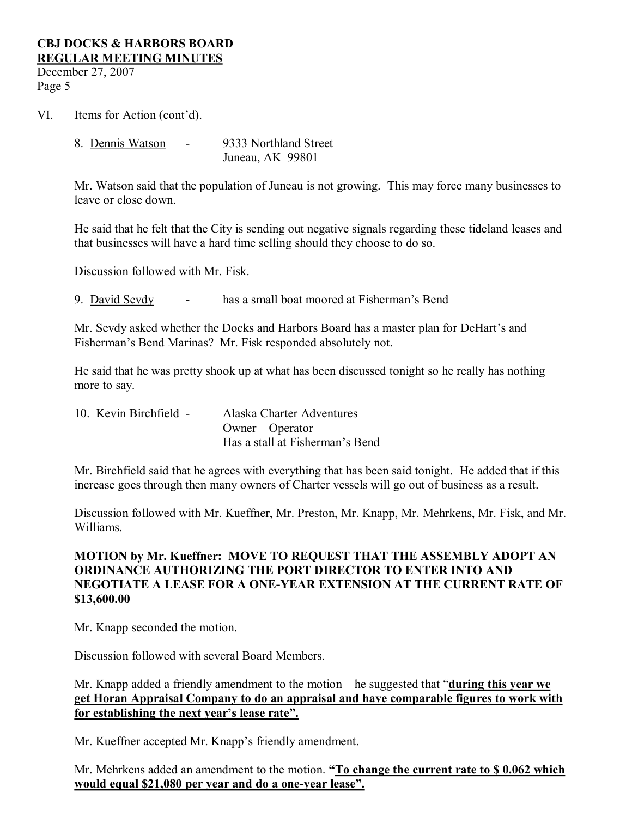December 27, 2007 Page 5

VI. Items for Action (cont'd).

8. Dennis Watson - 9333 Northland Street Juneau, AK 99801

Mr. Watson said that the population of Juneau is not growing. This may force many businesses to leave or close down.

He said that he felt that the City is sending out negative signals regarding these tideland leases and that businesses will have a hard time selling should they choose to do so.

Discussion followed with Mr. Fisk.

9. David Sevdy has a small boat moored at Fisherman's Bend

Mr. Sevdy asked whether the Docks and Harbors Board has a master plan for DeHart's and Fisherman's Bend Marinas? Mr. Fisk responded absolutely not.

He said that he was pretty shook up at what has been discussed tonight so he really has nothing more to say.

10. Kevin Birchfield - Alaska Charter Adventures Owner – Operator Has a stall at Fisherman's Bend

Mr. Birchfield said that he agrees with everything that has been said tonight. He added that if this increase goes through then many owners of Charter vessels will go out of business as a result.

Discussion followed with Mr. Kueffner, Mr. Preston, Mr. Knapp, Mr. Mehrkens, Mr. Fisk, and Mr. Williams.

# **MOTION by Mr. Kueffner: MOVE TO REQUEST THAT THE ASSEMBLY ADOPT AN ORDINANCE AUTHORIZING THE PORT DIRECTOR TO ENTER INTO AND NEGOTIATE A LEASE FOR A ONEYEAR EXTENSION AT THE CURRENT RATE OF \$13,600.00**

Mr. Knapp seconded the motion.

Discussion followed with several Board Members.

Mr. Knapp added a friendly amendment to the motion – he suggested that "**during this year we get Horan Appraisal Company to do an appraisal and have comparable figures to work with for establishing the next year's lease rate".**

Mr. Kueffner accepted Mr. Knapp's friendly amendment.

Mr. Mehrkens added an amendment to the motion. **"To change the current rate to \$ 0.062 which would equal \$21,080 per year and do a one-year lease".**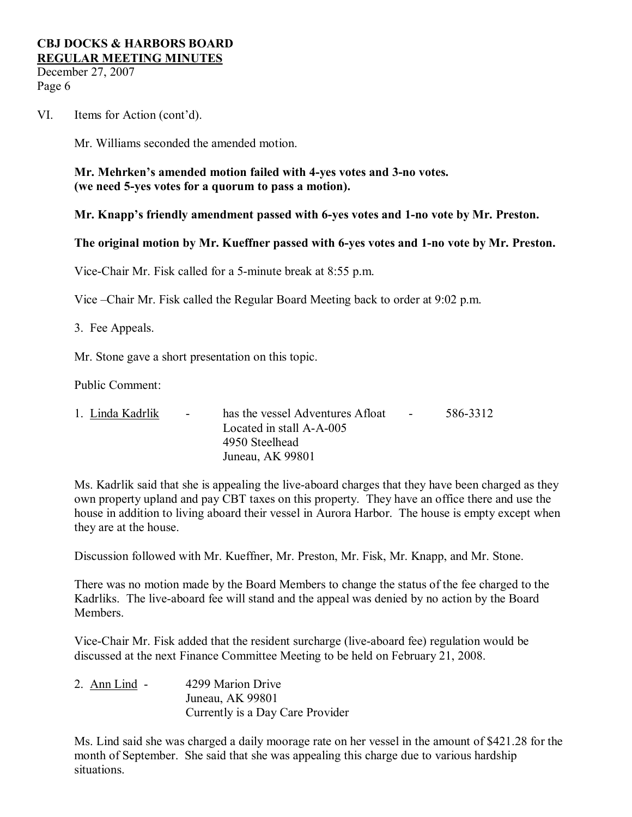December 27, 2007 Page 6

VI. Items for Action (cont'd).

Mr. Williams seconded the amended motion.

**Mr. Mehrken's amended motion failed with 4yes votes and 3no votes. (we need 5yes votes for a quorum to pass a motion).**

**Mr. Knapp's friendly amendment passed with 6yes votes and 1no vote by Mr. Preston.**

**The original motion by Mr. Kueffner passed with 6-yes votes and 1-no vote by Mr. Preston.** 

Vice-Chair Mr. Fisk called for a 5-minute break at 8:55 p.m.

Vice –Chair Mr. Fisk called the Regular Board Meeting back to order at 9:02 p.m.

3. Fee Appeals.

Mr. Stone gave a short presentation on this topic.

Public Comment:

| 1. Linda Kadrlik | $\sim 100$ | has the vessel Adventures Afloat | <b>Contract Contract</b> | 586-3312 |
|------------------|------------|----------------------------------|--------------------------|----------|
|                  |            | Located in stall A-A-005         |                          |          |
|                  |            | 4950 Steelhead                   |                          |          |
|                  |            | Juneau, AK 99801                 |                          |          |

Ms. Kadrlik said that she is appealing the live-aboard charges that they have been charged as they own property upland and pay CBT taxes on this property. They have an office there and use the house in addition to living aboard their vessel in Aurora Harbor. The house is empty except when they are at the house.

Discussion followed with Mr. Kueffner, Mr. Preston, Mr. Fisk, Mr. Knapp, and Mr. Stone.

There was no motion made by the Board Members to change the status of the fee charged to the Kadrliks. The live-aboard fee will stand and the appeal was denied by no action by the Board **Members** 

Vice-Chair Mr. Fisk added that the resident surcharge (live-aboard fee) regulation would be discussed at the next Finance Committee Meeting to be held on February 21, 2008.

2. Ann Lind - 4299 Marion Drive Juneau, AK 99801 Currently is a Day Care Provider

Ms. Lind said she was charged a daily moorage rate on her vessel in the amount of \$421.28 for the month of September. She said that she was appealing this charge due to various hardship situations.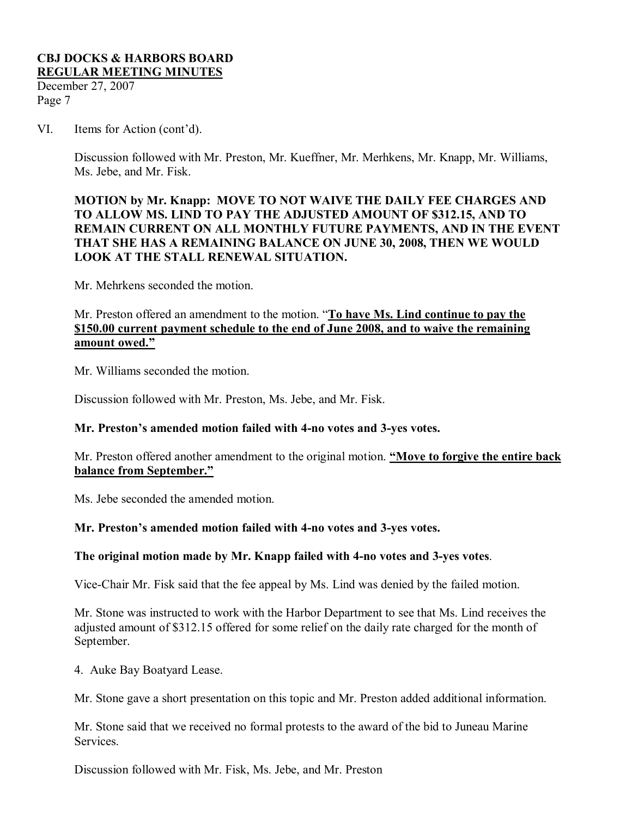December 27, 2007 Page 7

VI. Items for Action (cont'd).

Discussion followed with Mr. Preston, Mr. Kueffner, Mr. Merhkens, Mr. Knapp, Mr. Williams, Ms. Jebe, and Mr. Fisk.

### **MOTION by Mr. Knapp: MOVE TO NOT WAIVE THE DAILY FEE CHARGES AND TO ALLOW MS. LIND TO PAY THE ADJUSTED AMOUNT OF \$312.15, AND TO REMAIN CURRENT ON ALL MONTHLY FUTURE PAYMENTS, AND IN THE EVENT THAT SHE HAS A REMAINING BALANCE ON JUNE 30, 2008, THEN WE WOULD LOOK AT THE STALL RENEWAL SITUATION.**

Mr. Mehrkens seconded the motion.

### Mr. Preston offered an amendment to the motion. "**To have Ms. Lind continue to pay the \$150.00 current payment schedule to the end of June 2008, and to waive the remaining amount owed."**

Mr. Williams seconded the motion.

Discussion followed with Mr. Preston, Ms. Jebe, and Mr. Fisk.

### **Mr. Preston's amended motion failed with 4no votes and 3yes votes.**

Mr. Preston offered another amendment to the original motion. **"Move to forgive the entire back balance from September."**

Ms. Jebe seconded the amended motion.

### **Mr. Preston's amended motion failed with 4no votes and 3yes votes.**

### **The original motion made by Mr. Knapp failed with 4no votes and 3yes votes**.

Vice-Chair Mr. Fisk said that the fee appeal by Ms. Lind was denied by the failed motion.

Mr. Stone was instructed to work with the Harbor Department to see that Ms. Lind receives the adjusted amount of \$312.15 offered for some relief on the daily rate charged for the month of September.

4. Auke Bay Boatyard Lease.

Mr. Stone gave a short presentation on this topic and Mr. Preston added additional information.

Mr. Stone said that we received no formal protests to the award of the bid to Juneau Marine Services.

Discussion followed with Mr. Fisk, Ms. Jebe, and Mr. Preston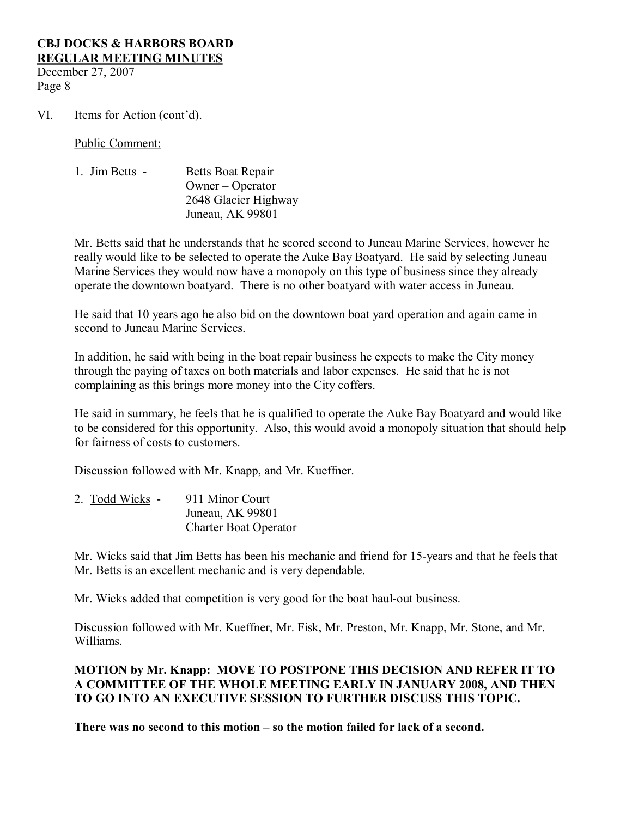December 27, 2007 Page 8

VI. Items for Action (cont'd).

Public Comment:

| 1. Jim Betts - | Betts Boat Repair    |
|----------------|----------------------|
|                | $O$ wner – Operator  |
|                | 2648 Glacier Highway |
|                | Juneau, AK 99801     |

Mr. Betts said that he understands that he scored second to Juneau Marine Services, however he really would like to be selected to operate the Auke Bay Boatyard. He said by selecting Juneau Marine Services they would now have a monopoly on this type of business since they already operate the downtown boatyard. There is no other boatyard with water access in Juneau.

He said that 10 years ago he also bid on the downtown boat yard operation and again came in second to Juneau Marine Services.

In addition, he said with being in the boat repair business he expects to make the City money through the paying of taxes on both materials and labor expenses. He said that he is not complaining as this brings more money into the City coffers.

He said in summary, he feels that he is qualified to operate the Auke Bay Boatyard and would like to be considered for this opportunity. Also, this would avoid a monopoly situation that should help for fairness of costs to customers.

Discussion followed with Mr. Knapp, and Mr. Kueffner.

| 2. Todd Wicks - | 911 Minor Court              |
|-----------------|------------------------------|
|                 | Juneau, AK 99801             |
|                 | <b>Charter Boat Operator</b> |

Mr. Wicks said that Jim Betts has been his mechanic and friend for 15-years and that he feels that Mr. Betts is an excellent mechanic and is very dependable.

Mr. Wicks added that competition is very good for the boat haul-out business.

Discussion followed with Mr. Kueffner, Mr. Fisk, Mr. Preston, Mr. Knapp, Mr. Stone, and Mr. Williams.

# **MOTION by Mr. Knapp: MOVE TO POSTPONE THIS DECISION AND REFER IT TO A COMMITTEE OF THE WHOLE MEETING EARLY IN JANUARY 2008, AND THEN TO GO INTO AN EXECUTIVE SESSION TO FURTHER DISCUSS THIS TOPIC.**

**There was no second to this motion – so the motion failed for lack of a second.**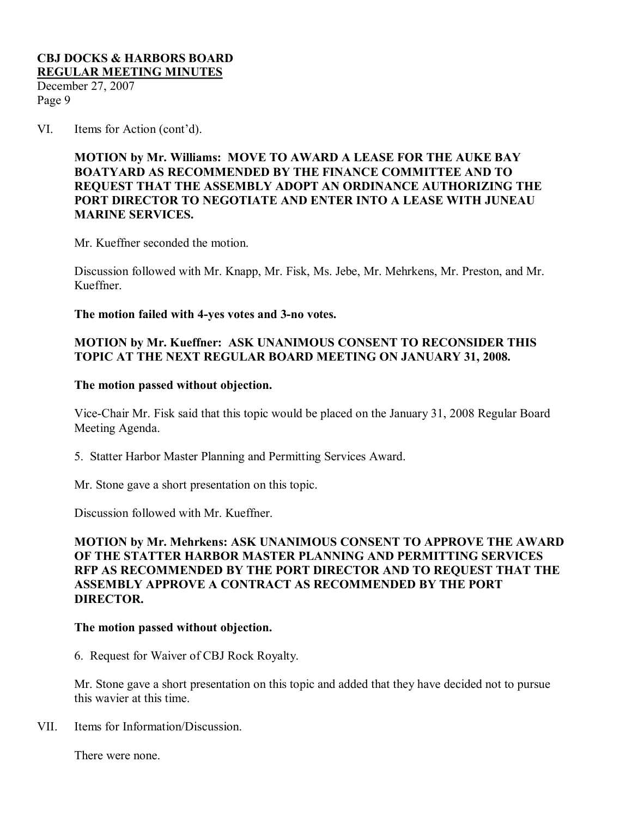December 27, 2007 Page 9

VI. Items for Action (cont'd).

### **MOTION by Mr. Williams: MOVE TO AWARD A LEASE FOR THE AUKE BAY BOATYARD AS RECOMMENDED BY THE FINANCE COMMITTEE AND TO REQUEST THAT THE ASSEMBLY ADOPT AN ORDINANCE AUTHORIZING THE PORT DIRECTOR TO NEGOTIATE AND ENTER INTO A LEASE WITH JUNEAU MARINE SERVICES.**

Mr. Kueffner seconded the motion.

Discussion followed with Mr. Knapp, Mr. Fisk, Ms. Jebe, Mr. Mehrkens, Mr. Preston, and Mr. Kueffner.

**The motion failed with 4yes votes and 3no votes.**

### **MOTION by Mr. Kueffner: ASK UNANIMOUS CONSENT TO RECONSIDER THIS TOPIC AT THE NEXT REGULAR BOARD MEETING ON JANUARY 31, 2008.**

#### **The motion passed without objection.**

Vice-Chair Mr. Fisk said that this topic would be placed on the January 31, 2008 Regular Board Meeting Agenda.

5. Statter Harbor Master Planning and Permitting Services Award.

Mr. Stone gave a short presentation on this topic.

Discussion followed with Mr. Kueffner.

### **MOTION by Mr. Mehrkens: ASK UNANIMOUS CONSENT TO APPROVE THE AWARD OF THE STATTER HARBOR MASTER PLANNING AND PERMITTING SERVICES RFP AS RECOMMENDED BY THE PORT DIRECTOR AND TO REQUEST THAT THE ASSEMBLY APPROVE A CONTRACT AS RECOMMENDED BY THE PORT DIRECTOR.**

### **The motion passed without objection.**

6. Request for Waiver of CBJ Rock Royalty.

Mr. Stone gave a short presentation on this topic and added that they have decided not to pursue this wavier at this time.

VII. Items for Information/Discussion.

There were none.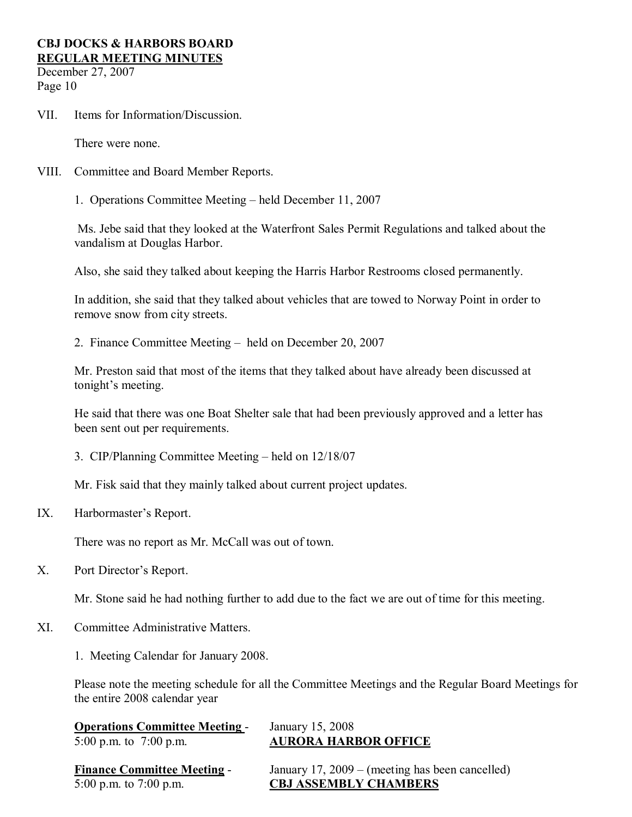December 27, 2007 Page 10

VII. Items for Information/Discussion.

There were none.

- VIII. Committee and Board Member Reports.
	- 1. Operations Committee Meeting held December 11, 2007

Ms. Jebe said that they looked at the Waterfront Sales Permit Regulations and talked about the vandalism at Douglas Harbor.

Also, she said they talked about keeping the Harris Harbor Restrooms closed permanently.

In addition, she said that they talked about vehicles that are towed to Norway Point in order to remove snow from city streets.

2. Finance Committee Meeting – held on December 20, 2007

Mr. Preston said that most of the items that they talked about have already been discussed at tonight's meeting.

He said that there was one Boat Shelter sale that had been previously approved and a letter has been sent out per requirements.

3. CIP/Planning Committee Meeting – held on 12/18/07

Mr. Fisk said that they mainly talked about current project updates.

IX. Harbormaster's Report.

There was no report as Mr. McCall was out of town.

X. Port Director's Report.

Mr. Stone said he had nothing further to add due to the fact we are out of time for this meeting.

- XI. Committee Administrative Matters.
	- 1. Meeting Calendar for January 2008.

Please note the meeting schedule for all the Committee Meetings and the Regular Board Meetings for the entire 2008 calendar year

| <b>Operations Committee Meeting -</b> | January 15, 2008            |
|---------------------------------------|-----------------------------|
| 5:00 p.m. to $7:00$ p.m.              | <b>AURORA HARBOR OFFICE</b> |

| <b>Finance Committee Meeting -</b> | January 17, 2009 – (meeting has been cancelled) |
|------------------------------------|-------------------------------------------------|
| 5:00 p.m. to 7:00 p.m.             | <b>CBJ ASSEMBLY CHAMBERS</b>                    |